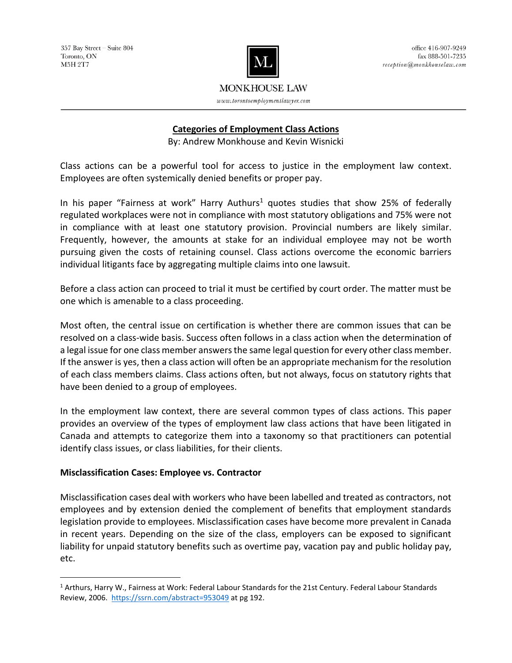

# **MONKHOUSE LAW**

 $www. to ronto employ ment law yer.com$ 

# **Categories of Employment Class Actions**

By: Andrew Monkhouse and Kevin Wisnicki

Class actions can be a powerful tool for access to justice in the employment law context. Employees are often systemically denied benefits or proper pay.

In his paper "Fairness at work" Harry Authurs<sup>1</sup> quotes studies that show 25% of federally regulated workplaces were not in compliance with most statutory obligations and 75% were not in compliance with at least one statutory provision. Provincial numbers are likely similar. Frequently, however, the amounts at stake for an individual employee may not be worth pursuing given the costs of retaining counsel. Class actions overcome the economic barriers individual litigants face by aggregating multiple claims into one lawsuit.

Before a class action can proceed to trial it must be certified by court order. The matter must be one which is amenable to a class proceeding.

Most often, the central issue on certification is whether there are common issues that can be resolved on a class-wide basis. Success often follows in a class action when the determination of a legal issue for one class member answers the same legal question for every other class member. If the answer is yes, then a class action will often be an appropriate mechanism for the resolution of each class members claims. Class actions often, but not always, focus on statutory rights that have been denied to a group of employees.

In the employment law context, there are several common types of class actions. This paper provides an overview of the types of employment law class actions that have been litigated in Canada and attempts to categorize them into a taxonomy so that practitioners can potential identify class issues, or class liabilities, for their clients.

## **Misclassification Cases: Employee vs. Contractor**

 $\overline{a}$ 

Misclassification cases deal with workers who have been labelled and treated as contractors, not employees and by extension denied the complement of benefits that employment standards legislation provide to employees. Misclassification cases have become more prevalent in Canada in recent years. Depending on the size of the class, employers can be exposed to significant liability for unpaid statutory benefits such as overtime pay, vacation pay and public holiday pay, etc.

<sup>1</sup> Arthurs, Harry W., Fairness at Work: Federal Labour Standards for the 21st Century. Federal Labour Standards Review, 2006.<https://ssrn.com/abstract=953049> at pg 192.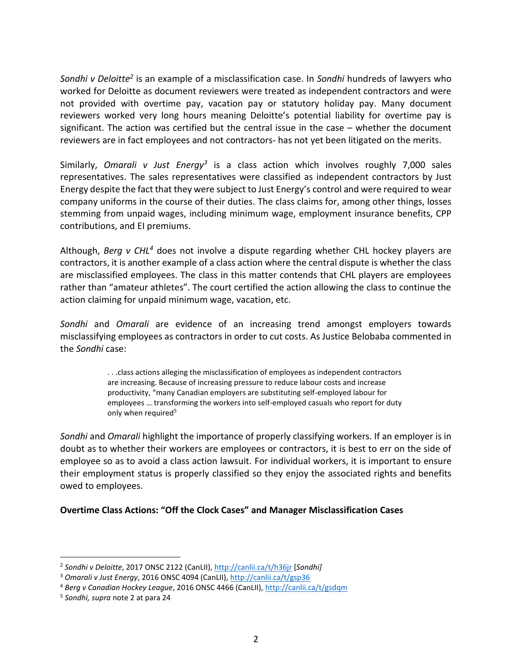Sondhi v Deloitte<sup>2</sup> is an example of a misclassification case. In Sondhi hundreds of lawyers who worked for Deloitte as document reviewers were treated as independent contractors and were not provided with overtime pay, vacation pay or statutory holiday pay. Many document reviewers worked very long hours meaning Deloitte's potential liability for overtime pay is significant. The action was certified but the central issue in the case – whether the document reviewers are in fact employees and not contractors- has not yet been litigated on the merits.

Similarly, *Omarali v Just Energy<sup>3</sup>* is a class action which involves roughly 7,000 sales representatives. The sales representatives were classified as independent contractors by Just Energy despite the fact that they were subject to Just Energy's control and were required to wear company uniforms in the course of their duties. The class claims for, among other things, losses stemming from unpaid wages, including minimum wage, employment insurance benefits, CPP contributions, and EI premiums.

Although, *Berg v CHL<sup>4</sup>* does not involve a dispute regarding whether CHL hockey players are contractors, it is another example of a class action where the central dispute is whether the class are misclassified employees. The class in this matter contends that CHL players are employees rather than "amateur athletes". The court certified the action allowing the class to continue the action claiming for unpaid minimum wage, vacation, etc.

*Sondhi* and *Omarali* are evidence of an increasing trend amongst employers towards misclassifying employees as contractors in order to cut costs. As Justice Belobaba commented in the *Sondhi* case:

> . . .class actions alleging the misclassification of employees as independent contractors are increasing. Because of increasing pressure to reduce labour costs and increase productivity, "many Canadian employers are substituting self-employed labour for employees … transforming the workers into self-employed casuals who report for duty only when required<sup>5</sup>

*Sondhi* and *Omarali* highlight the importance of properly classifying workers. If an employer is in doubt as to whether their workers are employees or contractors, it is best to err on the side of employee so as to avoid a class action lawsuit. For individual workers, it is important to ensure their employment status is properly classified so they enjoy the associated rights and benefits owed to employees.

**Overtime Class Actions: "Off the Clock Cases" and Manager Misclassification Cases**

<sup>2</sup> *Sondhi v Deloitte*, 2017 ONSC 2122 (CanLII)[, http://canlii.ca/t/h36jr](http://canlii.ca/t/h36jr) [*Sondhi]*

<sup>3</sup> *Omarali v Just Energy*, 2016 ONSC 4094 (CanLII)[, http://canlii.ca/t/gsp36](http://canlii.ca/t/gsp36)

<sup>4</sup> *Berg v Canadian Hockey League*, 2016 ONSC 4466 (CanLII),<http://canlii.ca/t/gsdqm>

<sup>5</sup> *Sondhi, supra* note 2 at para 24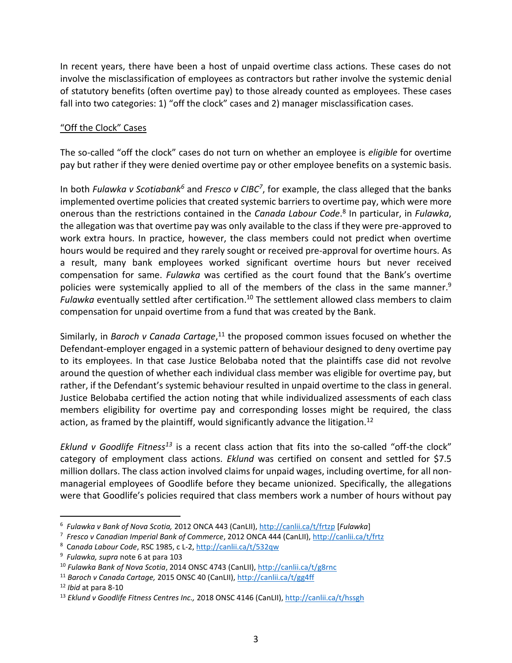In recent years, there have been a host of unpaid overtime class actions. These cases do not involve the misclassification of employees as contractors but rather involve the systemic denial of statutory benefits (often overtime pay) to those already counted as employees. These cases fall into two categories: 1) "off the clock" cases and 2) manager misclassification cases.

#### "Off the Clock" Cases

The so-called "off the clock" cases do not turn on whether an employee is *eligible* for overtime pay but rather if they were denied overtime pay or other employee benefits on a systemic basis.

In both *Fulawka v Scotiabank<sup>6</sup>* and *Fresco v CIBC<sup>7</sup>* , for example, the class alleged that the banks implemented overtime policies that created systemic barriers to overtime pay, which were more onerous than the restrictions contained in the *Canada Labour Code*. 8 In particular, in *Fulawka*, the allegation was that overtime pay was only available to the class if they were pre-approved to work extra hours. In practice, however, the class members could not predict when overtime hours would be required and they rarely sought or received pre-approval for overtime hours. As a result, many bank employees worked significant overtime hours but never received compensation for same. *Fulawka* was certified as the court found that the Bank's overtime policies were systemically applied to all of the members of the class in the same manner.<sup>9</sup> Fulawka eventually settled after certification.<sup>10</sup> The settlement allowed class members to claim compensation for unpaid overtime from a fund that was created by the Bank.

Similarly, in *Baroch v Canada Cartage*, <sup>11</sup> the proposed common issues focused on whether the Defendant-employer engaged in a systemic pattern of behaviour designed to deny overtime pay to its employees. In that case Justice Belobaba noted that the plaintiffs case did not revolve around the question of whether each individual class member was eligible for overtime pay, but rather, if the Defendant's systemic behaviour resulted in unpaid overtime to the class in general. Justice Belobaba certified the action noting that while individualized assessments of each class members eligibility for overtime pay and corresponding losses might be required, the class action, as framed by the plaintiff, would significantly advance the litigation.<sup>12</sup>

*Eklund v Goodlife Fitness<sup>13</sup>* is a recent class action that fits into the so-called "off-the clock" category of employment class actions. *Eklund* was certified on consent and settled for \$7.5 million dollars. The class action involved claims for unpaid wages, including overtime, for all nonmanagerial employees of Goodlife before they became unionized. Specifically, the allegations were that Goodlife's policies required that class members work a number of hours without pay

<sup>6</sup> *Fulawka v Bank of Nova Scotia,* 2012 ONCA 443 (CanLII)[, http://canlii.ca/t/frtzp](http://canlii.ca/t/frtzp) [*Fulawka*]

<sup>7</sup> *Fresco v Canadian Imperial Bank of Commerce*, 2012 ONCA 444 (CanLII),<http://canlii.ca/t/frtz>

<sup>8</sup> C*anada Labour Code*, RSC 1985, c L-2,<http://canlii.ca/t/532qw>

<sup>9</sup> *Fulawka, supra* note 6 at para 103

<sup>10</sup> *Fulawka Bank of Nova Scotia*, 2014 ONSC 4743 (CanLII)[, http://canlii.ca/t/g8rnc](http://canlii.ca/t/g8rnc)

<sup>11</sup> *Baroch v Canada Cartage,* 2015 ONSC 40 (CanLII),<http://canlii.ca/t/gg4ff>

<sup>12</sup> *Ibid* at para 8-10

<sup>13</sup> *Eklund v Goodlife Fitness Centres Inc.,* 2018 ONSC 4146 (CanLII),<http://canlii.ca/t/hssgh>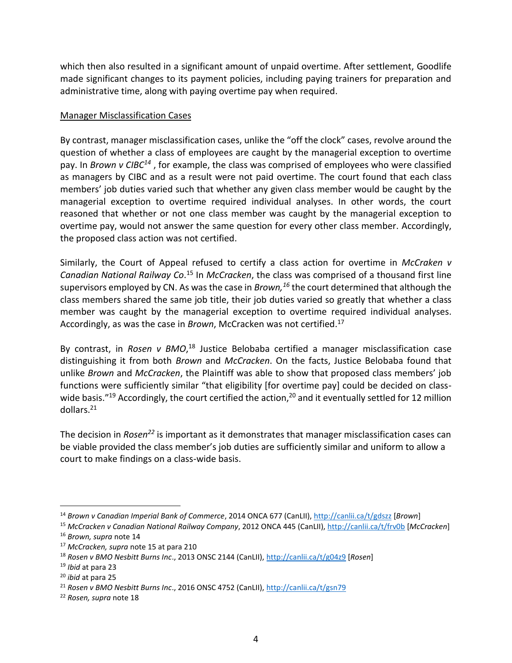which then also resulted in a significant amount of unpaid overtime. After settlement, Goodlife made significant changes to its payment policies, including paying trainers for preparation and administrative time, along with paying overtime pay when required.

#### Manager Misclassification Cases

By contrast, manager misclassification cases, unlike the "off the clock" cases, revolve around the question of whether a class of employees are caught by the managerial exception to overtime pay. In *Brown v CIBC<sup>14</sup>* , for example, the class was comprised of employees who were classified as managers by CIBC and as a result were not paid overtime. The court found that each class members' job duties varied such that whether any given class member would be caught by the managerial exception to overtime required individual analyses. In other words, the court reasoned that whether or not one class member was caught by the managerial exception to overtime pay, would not answer the same question for every other class member. Accordingly, the proposed class action was not certified.

Similarly, the Court of Appeal refused to certify a class action for overtime in *McCraken v Canadian National Railway Co*. <sup>15</sup> In *McCracken*, the class was comprised of a thousand first line supervisors employed by CN. As was the case in *Brown,<sup>16</sup>* the court determined that although the class members shared the same job title, their job duties varied so greatly that whether a class member was caught by the managerial exception to overtime required individual analyses. Accordingly, as was the case in *Brown*, McCracken was not certified.<sup>17</sup>

By contrast, in *Rosen v BMO*,<sup>18</sup> Justice Belobaba certified a manager misclassification case distinguishing it from both *Brown* and *McCracken*. On the facts, Justice Belobaba found that unlike *Brown* and *McCracken*, the Plaintiff was able to show that proposed class members' job functions were sufficiently similar "that eligibility [for overtime pay] could be decided on classwide basis."<sup>19</sup> Accordingly, the court certified the action,<sup>20</sup> and it eventually settled for 12 million dollars.<sup>21</sup>

The decision in *Rosen<sup>22</sup>* is important as it demonstrates that manager misclassification cases can be viable provided the class member's job duties are sufficiently similar and uniform to allow a court to make findings on a class-wide basis.

<sup>14</sup> *Brown v Canadian Imperial Bank of Commerce*, 2014 ONCA 677 (CanLII)[, http://canlii.ca/t/gdszz](http://canlii.ca/t/gdszz) [*Brown*]

<sup>15</sup> *McCracken v Canadian National Railway Company*, 2012 ONCA 445 (CanLII),<http://canlii.ca/t/frv0b> [*McCracken*]

<sup>16</sup> *Brown, supra* note 14

<sup>17</sup> *McCracken, supra* note 15 at para 210

<sup>18</sup> *Rosen v BMO Nesbitt Burns Inc*., 2013 ONSC 2144 (CanLII)[, http://canlii.ca/t/g04z9](http://canlii.ca/t/g04z9) [*Rosen*]

<sup>19</sup> *Ibid* at para 23

<sup>20</sup> *ibid* at para 25

<sup>21</sup> *Rosen v BMO Nesbitt Burns Inc*., 2016 ONSC 4752 (CanLII)[, http://canlii.ca/t/gsn79](http://canlii.ca/t/gsn79)

<sup>22</sup> *Rosen, supra* note 18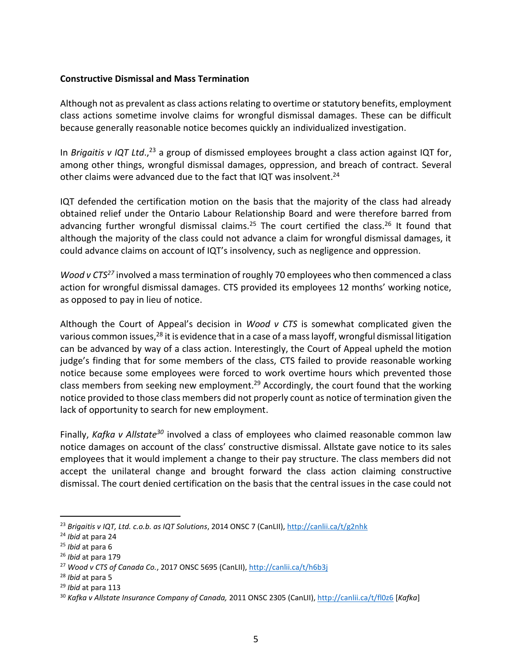### **Constructive Dismissal and Mass Termination**

Although not as prevalent as class actions relating to overtime or statutory benefits, employment class actions sometime involve claims for wrongful dismissal damages. These can be difficult because generally reasonable notice becomes quickly an individualized investigation.

In *Brigaitis v IQT Ltd*., <sup>23</sup> a group of dismissed employees brought a class action against IQT for, among other things, wrongful dismissal damages, oppression, and breach of contract. Several other claims were advanced due to the fact that IQT was insolvent.<sup>24</sup>

IQT defended the certification motion on the basis that the majority of the class had already obtained relief under the Ontario Labour Relationship Board and were therefore barred from advancing further wrongful dismissal claims.<sup>25</sup> The court certified the class.<sup>26</sup> It found that although the majority of the class could not advance a claim for wrongful dismissal damages, it could advance claims on account of IQT's insolvency, such as negligence and oppression.

*Wood v CTS<sup>27</sup>* involved a mass termination of roughly 70 employees who then commenced a class action for wrongful dismissal damages. CTS provided its employees 12 months' working notice, as opposed to pay in lieu of notice.

Although the Court of Appeal's decision in *Wood v CTS* is somewhat complicated given the various common issues,<sup>28</sup> it is evidence that in a case of a mass layoff, wrongful dismissal litigation can be advanced by way of a class action. Interestingly, the Court of Appeal upheld the motion judge's finding that for some members of the class, CTS failed to provide reasonable working notice because some employees were forced to work overtime hours which prevented those class members from seeking new employment.<sup>29</sup> Accordingly, the court found that the working notice provided to those class members did not properly count as notice of termination given the lack of opportunity to search for new employment.

Finally, *Kafka v Allstate<sup>30</sup>* involved a class of employees who claimed reasonable common law notice damages on account of the class' constructive dismissal. Allstate gave notice to its sales employees that it would implement a change to their pay structure. The class members did not accept the unilateral change and brought forward the class action claiming constructive dismissal. The court denied certification on the basis that the central issues in the case could not

<sup>23</sup> *Brigaitis v IQT, Ltd. c.o.b. as IQT Solutions*, 2014 ONSC 7 (CanLII)[, http://canlii.ca/t/g2nhk](http://canlii.ca/t/g2nhk)

<sup>24</sup> *Ibid* at para 24

<sup>25</sup> *Ibid* at para 6

<sup>26</sup> *Ibid* at para 179

<sup>27</sup> *Wood v CTS of Canada Co.*, 2017 ONSC 5695 (CanLII),<http://canlii.ca/t/h6b3j>

<sup>28</sup> *Ibid* at para 5

<sup>29</sup> *Ibid* at para 113

<sup>30</sup> *Kafka v Allstate Insurance Company of Canada,* 2011 ONSC 2305 (CanLII),<http://canlii.ca/t/fl0z6> [*Kafka*]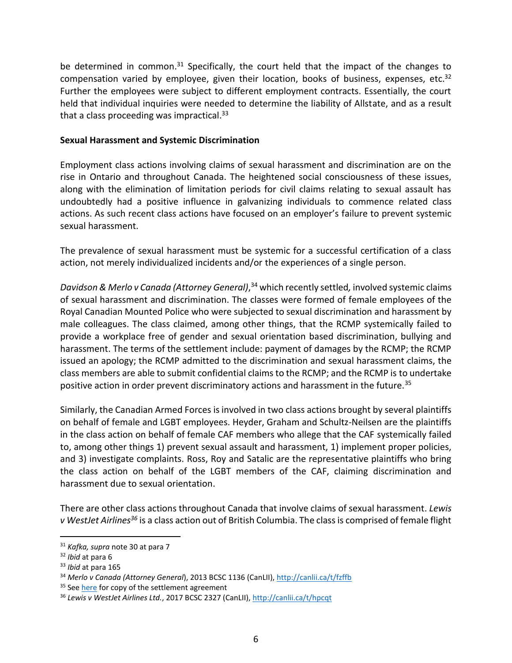be determined in common.<sup>31</sup> Specifically, the court held that the impact of the changes to compensation varied by employee, given their location, books of business, expenses, etc.<sup>32</sup> Further the employees were subject to different employment contracts. Essentially, the court held that individual inquiries were needed to determine the liability of Allstate, and as a result that a class proceeding was impractical.<sup>33</sup>

#### **Sexual Harassment and Systemic Discrimination**

Employment class actions involving claims of sexual harassment and discrimination are on the rise in Ontario and throughout Canada. The heightened social consciousness of these issues, along with the elimination of limitation periods for civil claims relating to sexual assault has undoubtedly had a positive influence in galvanizing individuals to commence related class actions. As such recent class actions have focused on an employer's failure to prevent systemic sexual harassment.

The prevalence of sexual harassment must be systemic for a successful certification of a class action, not merely individualized incidents and/or the experiences of a single person.

*Davidson & Merlo v Canada (Attorney General)*, <sup>34</sup> which recently settled*,* involved systemic claims of sexual harassment and discrimination. The classes were formed of female employees of the Royal Canadian Mounted Police who were subjected to sexual discrimination and harassment by male colleagues. The class claimed, among other things, that the RCMP systemically failed to provide a workplace free of gender and sexual orientation based discrimination, bullying and harassment. The terms of the settlement include: payment of damages by the RCMP; the RCMP issued an apology; the RCMP admitted to the discrimination and sexual harassment claims, the class members are able to submit confidential claims to the RCMP; and the RCMP is to undertake positive action in order prevent discriminatory actions and harassment in the future.<sup>35</sup>

Similarly, the Canadian Armed Forces is involved in two class actions brought by several plaintiffs on behalf of female and LGBT employees. Heyder, Graham and Schultz-Neilsen are the plaintiffs in the class action on behalf of female CAF members who allege that the CAF systemically failed to, among other things 1) prevent sexual assault and harassment, 1) implement proper policies, and 3) investigate complaints. Ross, Roy and Satalic are the representative plaintiffs who bring the class action on behalf of the LGBT members of the CAF, claiming discrimination and harassment due to sexual orientation.

There are other class actions throughout Canada that involve claims of sexual harassment. *Lewis v WestJet Airlines<sup>36</sup>* is a class action out of British Columbia. The class is comprised of female flight

<sup>31</sup> *Kafka, supra* note 30 at para 7

<sup>32</sup> *Ibid* at para 6

<sup>33</sup> *Ibid* at para 165

<sup>34</sup> *Merlo v Canada (Attorney General*), 2013 BCSC 1136 (CanLII),<http://canlii.ca/t/fzffb>

<sup>&</sup>lt;sup>35</sup> Se[e here](https://merlodavidson.ca/wp-content/uploads/MERLO-DAVIDSON-SETTLEMENT-AGREEMENT.pdf) for copy of the settlement agreement

<sup>36</sup> *Lewis v WestJet Airlines Ltd.*, 2017 BCSC 2327 (CanLII),<http://canlii.ca/t/hpcqt>